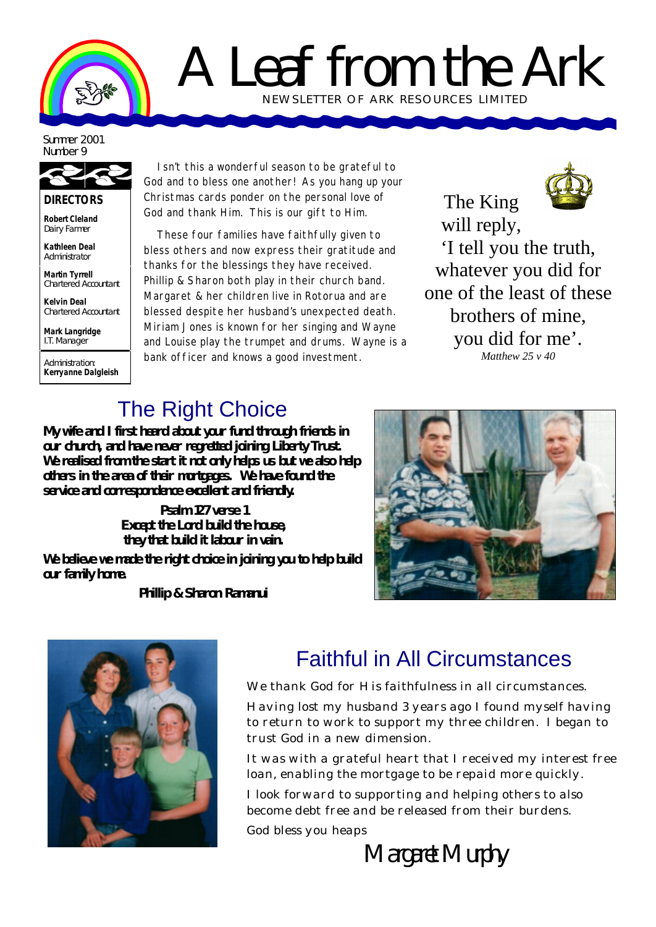

## A Leaf from the Ark NEWSLETTER OF ARK RE SOURCES LIMITED

Summer 2001 Number 9

**DIRECTORS**

**Robert Cleland** Dairy Farmer

**Kathleen Deal** Administrator

**Martin Tyrrell** Chartered Accountant

**Kelvin Deal** Chartered Accountant

**Mark Langridge** I.T. Manager

Administration: **Kerryanne Dalgleish**

Isn't this a wonderful season to be grateful to God and to bless one another! As you hang up your Christmas cards ponder on the personal love of God and thank Him. This is our gift to Him.

These four families have faithfully given to bless others and now express their gratitude and thanks for the blessings they have received. Phillip & Sharon both play in their church band. Margaret & her children live in Rotorua and are blessed despite her husband's unexpected death. Miriam Jones is known for her singing and Wayne and Louise play the trumpet and drums. Wayne is a bank officer and knows a good investment.



The King will reply, 'I tell you the truth, whatever you did for one of the least of these brothers of mine, you did for me'. *Matthew 25 v 40*

## The Right Choice

**My wife and I first heard about your fund through friends in our church, and have never regretted joining Liberty Trust. We realised from the start it not only helps us but we also help others in the area of their mortgages. We have found the service and correspondence excellent and friendly.**

> **Psalm 127 verse 1 Except the Lord build the house, they that build it labour in vain.**

**We believe we made the right choice in joining you to help build our family home.**

**Phillip & Sharon Ramanui**





## Faithful in All Circumstances

We thank God for His faithfulness in all circumstances.

Having lost my husband 3 years ago I found myself having to return to work to support my three children. I began to trust God in a new dimension.

It was with a grateful heart that I received my interest free loan, enabling the mortgage to be repaid more quickly.

I look forward to supporting and helping others to also become debt free and be released from their burdens.

God bless you heaps

Margaret Murphy